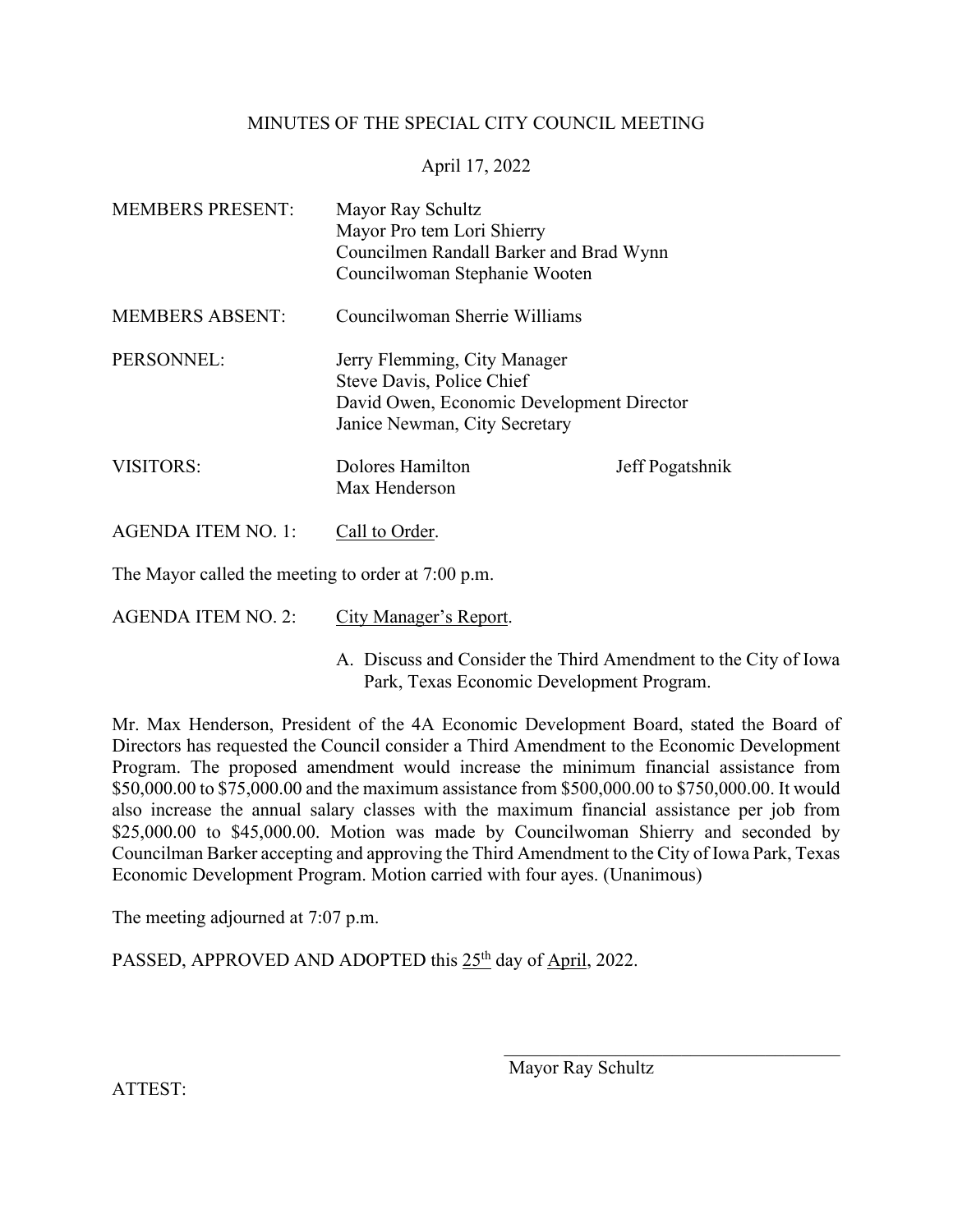## MINUTES OF THE SPECIAL CITY COUNCIL MEETING

## April 17, 2022

| <b>MEMBERS PRESENT:</b>                            | Mayor Ray Schultz<br>Mayor Pro tem Lori Shierry<br>Councilmen Randall Barker and Brad Wynn<br>Councilwoman Stephanie Wooten             |                 |
|----------------------------------------------------|-----------------------------------------------------------------------------------------------------------------------------------------|-----------------|
| <b>MEMBERS ABSENT:</b>                             | Councilwoman Sherrie Williams                                                                                                           |                 |
| PERSONNEL:                                         | Jerry Flemming, City Manager<br>Steve Davis, Police Chief<br>David Owen, Economic Development Director<br>Janice Newman, City Secretary |                 |
| <b>VISITORS:</b>                                   | Dolores Hamilton<br>Max Henderson                                                                                                       | Jeff Pogatshnik |
| <b>AGENDA ITEM NO. 1:</b>                          | Call to Order.                                                                                                                          |                 |
| The Mayor called the meeting to order at 7:00 p.m. |                                                                                                                                         |                 |

AGENDA ITEM NO. 2: City Manager's Report.

A. Discuss and Consider the Third Amendment to the City of Iowa Park, Texas Economic Development Program.

Mr. Max Henderson, President of the 4A Economic Development Board, stated the Board of Directors has requested the Council consider a Third Amendment to the Economic Development Program. The proposed amendment would increase the minimum financial assistance from \$50,000.00 to \$75,000.00 and the maximum assistance from \$500,000.00 to \$750,000.00. It would also increase the annual salary classes with the maximum financial assistance per job from \$25,000.00 to \$45,000.00. Motion was made by Councilwoman Shierry and seconded by Councilman Barker accepting and approving the Third Amendment to the City of Iowa Park, Texas Economic Development Program. Motion carried with four ayes. (Unanimous)

The meeting adjourned at 7:07 p.m.

PASSED, APPROVED AND ADOPTED this 25<sup>th</sup> day of April, 2022.

 $\mathcal{L}_\mathcal{L}$ 

ATTEST: